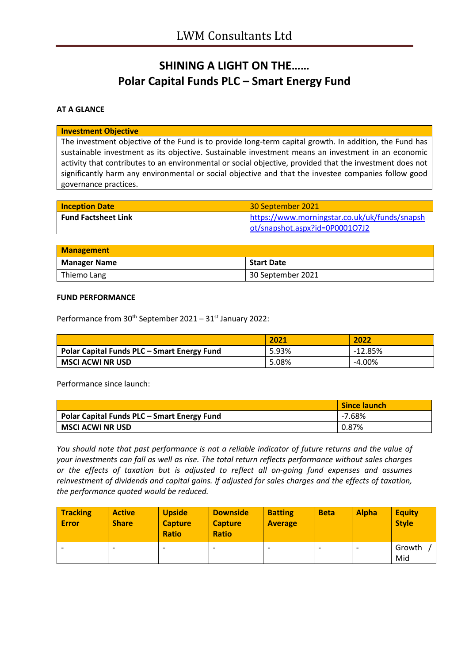# **SHINING A LIGHT ON THE…… Polar Capital Funds PLC – Smart Energy Fund**

### **AT A GLANCE**

#### **Investment Objective**

The investment objective of the Fund is to provide long-term capital growth. In addition, the Fund has sustainable investment as its objective. Sustainable investment means an investment in an economic activity that contributes to an environmental or social objective, provided that the investment does not significantly harm any environmental or social objective and that the investee companies follow good governance practices.

| <b>Inception Date</b>      | 30 September 2021                             |
|----------------------------|-----------------------------------------------|
| <b>Fund Factsheet Link</b> | https://www.morningstar.co.uk/uk/funds/snapsh |
|                            | ot/snapshot.aspx?id=0P0001O7J2                |

| <b>Management</b>                        |                   |  |
|------------------------------------------|-------------------|--|
| <b>Manager Name</b><br><b>Start Date</b> |                   |  |
| Thiemo Lang                              | 30 September 2021 |  |

### **FUND PERFORMANCE**

Performance from 30<sup>th</sup> September 2021 – 31<sup>st</sup> January 2022:

|                                                    | 2021  | 2022      |
|----------------------------------------------------|-------|-----------|
| <b>Polar Capital Funds PLC - Smart Energy Fund</b> | 5.93% | -12.85%   |
| MSCI ACWI NR USD                                   | 5.08% | $-4.00\%$ |

Performance since launch:

|                                             | <b>Since launch</b> |
|---------------------------------------------|---------------------|
| Polar Capital Funds PLC – Smart Energy Fund | -7.68%              |
| <b>MSCI ACWI NR USD</b>                     | 0.87%               |

*You should note that past performance is not a reliable indicator of future returns and the value of your investments can fall as well as rise. The total return reflects performance without sales charges or the effects of taxation but is adjusted to reflect all on-going fund expenses and assumes reinvestment of dividends and capital gains. If adjusted for sales charges and the effects of taxation, the performance quoted would be reduced.*

| <b>Tracking</b><br><b>Error</b> | <b>Active</b><br><b>Share</b> | <b>Upside</b><br><b>Capture</b><br><b>Ratio</b> | <b>Downside</b><br><b>Capture</b><br><b>Ratio</b> | <b>Batting</b><br><b>Average</b> | <b>Beta</b> | <b>Alpha</b> | <b>Equity</b><br><b>Style</b> |
|---------------------------------|-------------------------------|-------------------------------------------------|---------------------------------------------------|----------------------------------|-------------|--------------|-------------------------------|
|                                 | $\overline{\phantom{0}}$      |                                                 | $\overline{\phantom{0}}$                          |                                  |             |              | Growth<br>Mid                 |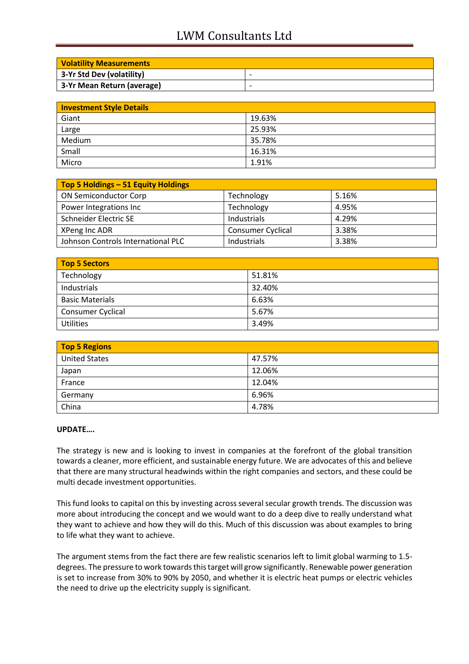# LWM Consultants Ltd

| <b>Volatility Measurements</b> |   |
|--------------------------------|---|
| 3-Yr Std Dev (volatility)      | ۰ |
| 3-Yr Mean Return (average)     | ۰ |

| <b>Investment Style Details</b> |        |  |
|---------------------------------|--------|--|
| Giant                           | 19.63% |  |
| Large                           | 25.93% |  |
| Medium                          | 35.78% |  |
| Small                           | 16.31% |  |
| Micro                           | 1.91%  |  |

| Top 5 Holdings - 51 Equity Holdings |                          |       |
|-------------------------------------|--------------------------|-------|
| <b>ON Semiconductor Corp</b>        | Technology               | 5.16% |
| Power Integrations Inc              | Technology               | 4.95% |
| Schneider Electric SE               | Industrials              | 4.29% |
| XPeng Inc ADR                       | <b>Consumer Cyclical</b> | 3.38% |
| Johnson Controls International PLC  | Industrials              | 3.38% |

| Top 5 Sectors          |        |  |
|------------------------|--------|--|
| Technology             | 51.81% |  |
| Industrials            | 32.40% |  |
| <b>Basic Materials</b> | 6.63%  |  |
| Consumer Cyclical      | 5.67%  |  |
| <b>Utilities</b>       | 3.49%  |  |

| <b>Top 5 Regions</b> |        |  |
|----------------------|--------|--|
| <b>United States</b> | 47.57% |  |
| Japan                | 12.06% |  |
| France               | 12.04% |  |
| Germany              | 6.96%  |  |
| China                | 4.78%  |  |

### **UPDATE….**

The strategy is new and is looking to invest in companies at the forefront of the global transition towards a cleaner, more efficient, and sustainable energy future. We are advocates of this and believe that there are many structural headwinds within the right companies and sectors, and these could be multi decade investment opportunities.

This fund looks to capital on this by investing across several secular growth trends. The discussion was more about introducing the concept and we would want to do a deep dive to really understand what they want to achieve and how they will do this. Much of this discussion was about examples to bring to life what they want to achieve.

The argument stems from the fact there are few realistic scenarios left to limit global warming to 1.5 degrees. The pressure to work towards this target will grow significantly. Renewable power generation is set to increase from 30% to 90% by 2050, and whether it is electric heat pumps or electric vehicles the need to drive up the electricity supply is significant.